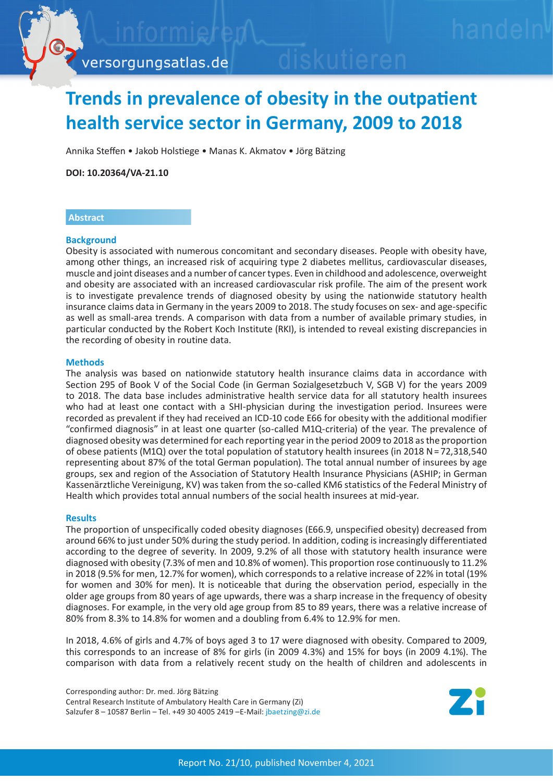

versorgungsatlas.de

# **Trends in prevalence of obesity in the outpatient health service sector in Germany, 2009 to 2018**

Annika Steffen • Jakob Holstiege • Manas K. Akmatov • Jörg Bätzing

**DOI: 10.20364/VA-21.10**

## **Abstract**

## **Background**

Obesity is associated with numerous concomitant and secondary diseases. People with obesity have, among other things, an increased risk of acquiring type 2 diabetes mellitus, cardiovascular diseases, muscle and joint diseases and a number of cancer types. Even in childhood and adolescence, overweight and obesity are associated with an increased cardiovascular risk profile. The aim of the present work is to investigate prevalence trends of diagnosed obesity by using the nationwide statutory health insurance claims data in Germany in the years 2009 to 2018. The study focuses on sex- and age-specific as well as small-area trends. A comparison with data from a number of available primary studies, in particular conducted by the Robert Koch Institute (RKI), is intended to reveal existing discrepancies in the recording of obesity in routine data.

## **Methods**

The analysis was based on nationwide statutory health insurance claims data in accordance with Section 295 of Book V of the Social Code (in German Sozialgesetzbuch V, SGB V) for the years 2009 to 2018. The data base includes administrative health service data for all statutory health insurees who had at least one contact with a SHI-physician during the investigation period. Insurees were recorded as prevalent if they had received an ICD-10 code E66 for obesity with the additional modifier "confirmed diagnosis" in at least one quarter (so-called M1Q-criteria) of the year. The prevalence of diagnosed obesity was determined for each reporting year in the period 2009 to 2018 as the proportion of obese patients (M1Q) over the total population of statutory health insurees (in 2018 N = 72,318,540 representing about 87% of the total German population). The total annual number of insurees by age groups, sex and region of the Association of Statutory Health Insurance Physicians (ASHIP; in German Kassenärztliche Vereinigung, KV) was taken from the so-called KM6 statistics of the Federal Ministry of Health which provides total annual numbers of the social health insurees at mid-year.

## **Results**

The proportion of unspecifically coded obesity diagnoses (E66.9, unspecified obesity) decreased from around 66% to just under 50% during the study period. In addition, coding is increasingly differentiated according to the degree of severity. In 2009, 9.2% of all those with statutory health insurance were diagnosed with obesity (7.3% of men and 10.8% of women). This proportion rose continuously to 11.2% in 2018 (9.5% for men, 12.7% for women), which corresponds to a relative increase of 22% in total (19% for women and 30% for men). It is noticeable that during the observation period, especially in the older age groups from 80 years of age upwards, there was a sharp increase in the frequency of obesity diagnoses. For example, in the very old age group from 85 to 89 years, there was a relative increase of 80% from 8.3% to 14.8% for women and a doubling from 6.4% to 12.9% for men.

In 2018, 4.6% of girls and 4.7% of boys aged 3 to 17 were diagnosed with obesity. Compared to 2009, this corresponds to an increase of 8% for girls (in 2009 4.3%) and 15% for boys (in 2009 4.1%). The comparison with data from a relatively recent study on the health of children and adolescents in

Corresponding author: Dr. med. Jörg Bätzing Central Research Institute of Ambulatory Health Care in Germany (Zi) Salzufer 8 – 10587 Berlin – Tel. +49 30 4005 2419 –E-Mail: jbaetzing[@zi.de](mailto:jbaetzing%40zi.de?subject=VA-Bericht%2021/10%20Adipositas)